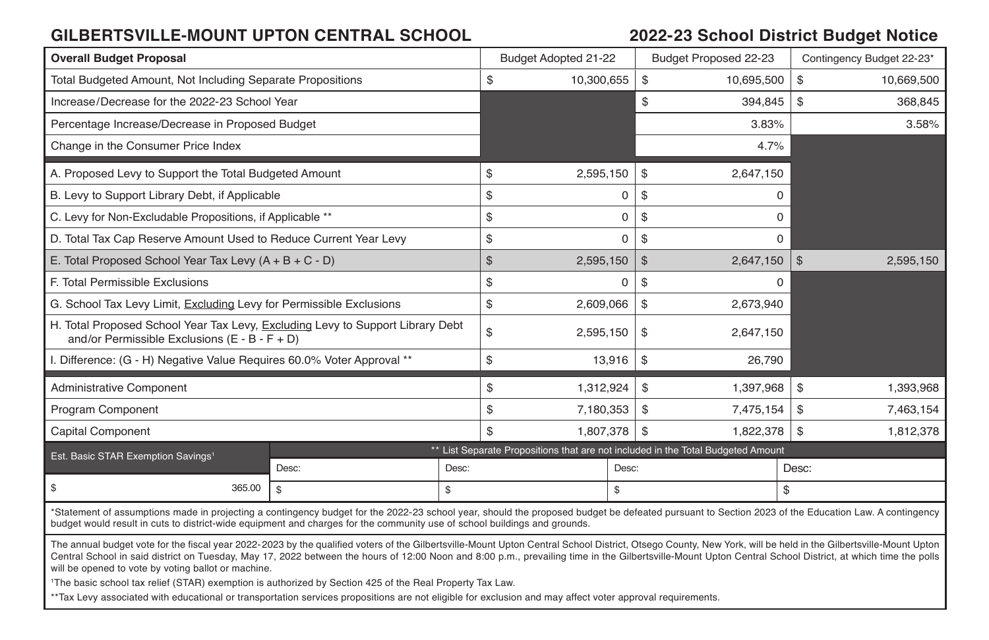#### **GILBERTSVILLE-MOUNT UPTON CENTRAL SCHOOL 2022-23 School District Budget Notice**

| <b>Overall Budget Proposal</b>                                                                                                                                                                                                                                                                                                                                                                                                                                                                                                                                                                                                                                                                                                                                         |              |                                                                                  | Budget Adopted 21-22 |              |                | Budget Proposed 22-23 |                | Contingency Budget 22-23* |  |
|------------------------------------------------------------------------------------------------------------------------------------------------------------------------------------------------------------------------------------------------------------------------------------------------------------------------------------------------------------------------------------------------------------------------------------------------------------------------------------------------------------------------------------------------------------------------------------------------------------------------------------------------------------------------------------------------------------------------------------------------------------------------|--------------|----------------------------------------------------------------------------------|----------------------|--------------|----------------|-----------------------|----------------|---------------------------|--|
| Total Budgeted Amount, Not Including Separate Propositions                                                                                                                                                                                                                                                                                                                                                                                                                                                                                                                                                                                                                                                                                                             |              |                                                                                  | \$                   | 10,300,655   | \$             | 10,695,500            | \$             | 10,669,500                |  |
| Increase/Decrease for the 2022-23 School Year                                                                                                                                                                                                                                                                                                                                                                                                                                                                                                                                                                                                                                                                                                                          |              |                                                                                  |                      |              | \$             | 394,845               | \$             | 368,845                   |  |
| Percentage Increase/Decrease in Proposed Budget                                                                                                                                                                                                                                                                                                                                                                                                                                                                                                                                                                                                                                                                                                                        |              |                                                                                  |                      |              |                | 3.83%                 |                | 3.58%                     |  |
| Change in the Consumer Price Index                                                                                                                                                                                                                                                                                                                                                                                                                                                                                                                                                                                                                                                                                                                                     |              |                                                                                  |                      |              |                | 4.7%                  |                |                           |  |
| A. Proposed Levy to Support the Total Budgeted Amount                                                                                                                                                                                                                                                                                                                                                                                                                                                                                                                                                                                                                                                                                                                  |              |                                                                                  | \$                   | 2,595,150    | \$             | 2,647,150             |                |                           |  |
| B. Levy to Support Library Debt, if Applicable                                                                                                                                                                                                                                                                                                                                                                                                                                                                                                                                                                                                                                                                                                                         |              |                                                                                  | \$                   |              | \$<br>0        | $\Omega$              |                |                           |  |
| C. Levy for Non-Excludable Propositions, if Applicable **                                                                                                                                                                                                                                                                                                                                                                                                                                                                                                                                                                                                                                                                                                              |              |                                                                                  | \$                   |              | \$<br>0        | $\Omega$              |                |                           |  |
| D. Total Tax Cap Reserve Amount Used to Reduce Current Year Levy                                                                                                                                                                                                                                                                                                                                                                                                                                                                                                                                                                                                                                                                                                       |              |                                                                                  | \$                   |              | \$<br>$\Omega$ | $\Omega$              |                |                           |  |
| E. Total Proposed School Year Tax Levy $(A + B + C - D)$                                                                                                                                                                                                                                                                                                                                                                                                                                                                                                                                                                                                                                                                                                               |              |                                                                                  | $\mathfrak{S}$       | 2,595,150    | $\mathfrak{S}$ | 2,647,150             | $\mathfrak{S}$ | 2.595.150                 |  |
| F. Total Permissible Exclusions                                                                                                                                                                                                                                                                                                                                                                                                                                                                                                                                                                                                                                                                                                                                        |              |                                                                                  | \$                   |              | \$<br>0        | 0                     |                |                           |  |
| G. School Tax Levy Limit, Excluding Levy for Permissible Exclusions                                                                                                                                                                                                                                                                                                                                                                                                                                                                                                                                                                                                                                                                                                    |              |                                                                                  | \$                   | 2,609,066    | \$             | 2,673,940             |                |                           |  |
| H. Total Proposed School Year Tax Levy, Excluding Levy to Support Library Debt<br>and/or Permissible Exclusions $(E - B - F + D)$                                                                                                                                                                                                                                                                                                                                                                                                                                                                                                                                                                                                                                      |              |                                                                                  | \$                   | 2,595,150    | \$             | 2,647,150             |                |                           |  |
| Difference: (G - H) Negative Value Requires 60.0% Voter Approval **                                                                                                                                                                                                                                                                                                                                                                                                                                                                                                                                                                                                                                                                                                    |              |                                                                                  | \$                   | 13,916       | \$             | 26,790                |                |                           |  |
| <b>Administrative Component</b>                                                                                                                                                                                                                                                                                                                                                                                                                                                                                                                                                                                                                                                                                                                                        |              |                                                                                  | \$                   | 1,312,924    | \$             | 1,397,968             | \$             | 1,393,968                 |  |
| Program Component                                                                                                                                                                                                                                                                                                                                                                                                                                                                                                                                                                                                                                                                                                                                                      |              |                                                                                  | \$                   | 7,180,353    | \$             | 7,475,154             | \$             | 7,463,154                 |  |
| <b>Capital Component</b>                                                                                                                                                                                                                                                                                                                                                                                                                                                                                                                                                                                                                                                                                                                                               |              | \$                                                                               | 1.807.378            | \$           | 1,822,378      | \$                    | 1,812,378      |                           |  |
| Est. Basic STAR Exemption Savings <sup>1</sup>                                                                                                                                                                                                                                                                                                                                                                                                                                                                                                                                                                                                                                                                                                                         |              | ** List Separate Propositions that are not included in the Total Budgeted Amount |                      |              |                |                       |                |                           |  |
|                                                                                                                                                                                                                                                                                                                                                                                                                                                                                                                                                                                                                                                                                                                                                                        | Desc:        | Desc:                                                                            |                      | Desc:        |                |                       |                | Desc:                     |  |
| \$<br>365.00                                                                                                                                                                                                                                                                                                                                                                                                                                                                                                                                                                                                                                                                                                                                                           | $\mathbb{S}$ | $\mathfrak{s}$                                                                   |                      | $\mathbb{S}$ |                |                       |                | \$                        |  |
| *Statement of assumptions made in projecting a contingency budget for the 2022-23 school year, should the proposed budget be defeated pursuant to Section 2023 of the Education Law. A contingency<br>budget would result in cuts to district-wide equipment and charges for the community use of school buildings and grounds.                                                                                                                                                                                                                                                                                                                                                                                                                                        |              |                                                                                  |                      |              |                |                       |                |                           |  |
| The annual budget vote for the fiscal year 2022-2023 by the qualified voters of the Gilbertsville-Mount Upton Central School District, Otsego County, New York, will be held in the Gilbertsville-Mount Upton<br>Central School in said district on Tuesday, May 17, 2022 between the hours of 12:00 Noon and 8:00 p.m., prevailing time in the Gilbertsville-Mount Upton Central School District, at which time the polls<br>will be opened to vote by voting ballot or machine.<br><sup>1</sup> The basic school tax relief (STAR) exemption is authorized by Section 425 of the Real Property Tax Law.<br>**Tax Levy associated with educational or transportation services propositions are not eligible for exclusion and may affect voter approval requirements. |              |                                                                                  |                      |              |                |                       |                |                           |  |